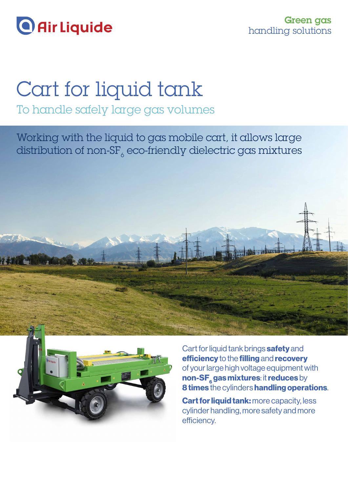

# Cart for liquid tank

To handle safely large gas volumes

Working with the liquid to gas mobile cart, it allows large distribution of non-SF $_{6}$  eco-friendly dielectric gas mixtures





Cart for liquid tank brings safety and efficiency to the filling and recovery of your large high voltage equipment with non-SF<sub>6</sub> gas mixtures: it reduces by 8 times the cylinders handling operations.

Cart for liquid tank: more capacity, less cylinder handling, more safety and more efficiency.